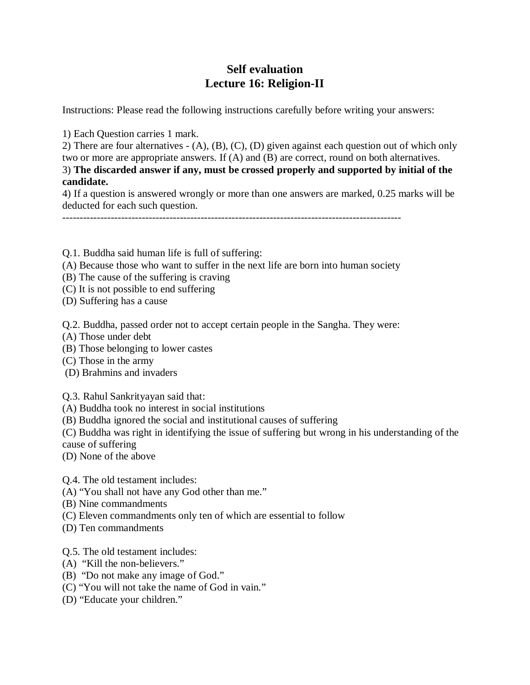## **Self evaluation Lecture 16: Religion-II**

Instructions: Please read the following instructions carefully before writing your answers:

1) Each Question carries 1 mark.

2) There are four alternatives - (A), (B), (C), (D) given against each question out of which only two or more are appropriate answers. If (A) and (B) are correct, round on both alternatives. 3) **The discarded answer if any, must be crossed properly and supported by initial of the candidate.**

4) If a question is answered wrongly or more than one answers are marked, 0.25 marks will be deducted for each such question.

--------------------------------------------------------------------------------------------------

- Q.1. Buddha said human life is full of suffering:
- (A) Because those who want to suffer in the next life are born into human society
- (B) The cause of the suffering is craving
- (C) It is not possible to end suffering
- (D) Suffering has a cause

Q.2. Buddha, passed order not to accept certain people in the Sangha. They were:

- (A) Those under debt
- (B) Those belonging to lower castes
- (C) Those in the army
- (D) Brahmins and invaders

Q.3. Rahul Sankrityayan said that:

- (A) Buddha took no interest in social institutions
- (B) Buddha ignored the social and institutional causes of suffering
- (C) Buddha was right in identifying the issue of suffering but wrong in his understanding of the

cause of suffering

(D) None of the above

Q.4. The old testament includes:

- (A) "You shall not have any God other than me."
- (B) Nine commandments
- (C) Eleven commandments only ten of which are essential to follow
- (D) Ten commandments

## Q.5. The old testament includes:

- (A) "Kill the non-believers."
- (B) "Do not make any image of God."
- (C) "You will not take the name of God in vain."
- (D) "Educate your children."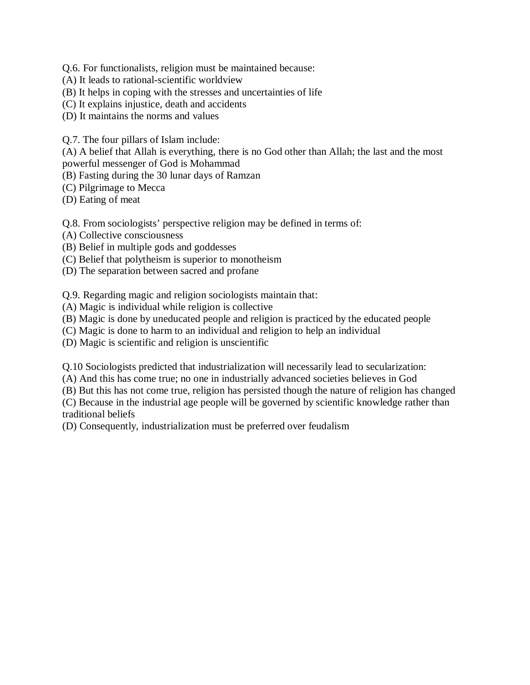Q.6. For functionalists, religion must be maintained because:

- (A) It leads to rational-scientific worldview
- (B) It helps in coping with the stresses and uncertainties of life
- (C) It explains injustice, death and accidents
- (D) It maintains the norms and values

Q.7. The four pillars of Islam include:

(A) A belief that Allah is everything, there is no God other than Allah; the last and the most powerful messenger of God is Mohammad

(B) Fasting during the 30 lunar days of Ramzan

(C) Pilgrimage to Mecca

(D) Eating of meat

Q.8. From sociologists' perspective religion may be defined in terms of:

- (A) Collective consciousness
- (B) Belief in multiple gods and goddesses
- (C) Belief that polytheism is superior to monotheism
- (D) The separation between sacred and profane

Q.9. Regarding magic and religion sociologists maintain that:

- (A) Magic is individual while religion is collective
- (B) Magic is done by uneducated people and religion is practiced by the educated people
- (C) Magic is done to harm to an individual and religion to help an individual

(D) Magic is scientific and religion is unscientific

Q.10 Sociologists predicted that industrialization will necessarily lead to secularization:

(A) And this has come true; no one in industrially advanced societies believes in God

(B) But this has not come true, religion has persisted though the nature of religion has changed

(C) Because in the industrial age people will be governed by scientific knowledge rather than traditional beliefs

(D) Consequently, industrialization must be preferred over feudalism